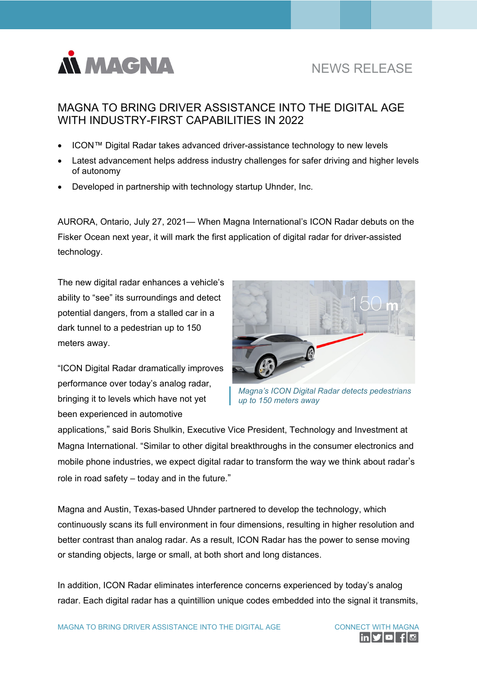

## MAGNA TO BRING DRIVER ASSISTANCE INTO THE DIGITAL AGE WITH INDUSTRY-FIRST CAPABILITIES IN 2022

- ICON™ Digital Radar takes advanced driver-assistance technology to new levels
- Latest advancement helps address industry challenges for safer driving and higher levels of autonomy
- Developed in partnership with technology startup Uhnder, Inc.

AURORA, Ontario, July 27, 2021— When Magna International's ICON Radar debuts on the Fisker Ocean next year, it will mark the first application of digital radar for driver-assisted technology.

The new digital radar enhances a vehicle's ability to "see" its surroundings and detect potential dangers, from a stalled car in a dark tunnel to a pedestrian up to 150 meters away.

"ICON Digital Radar dramatically improves performance over today's analog radar, bringing it to levels which have not yet been experienced in automotive



*Magna's ICON Digital Radar detects pedestrians up to 150 meters away*

applications," said Boris Shulkin, Executive Vice President, Technology and Investment at Magna International. "Similar to other digital breakthroughs in the consumer electronics and mobile phone industries, we expect digital radar to transform the way we think about radar's role in road safety – today and in the future."

Magna and Austin, Texas-based Uhnder partnered to develop the technology, which continuously scans its full environment in four dimensions, resulting in higher resolution and better contrast than analog radar. As a result, ICON Radar has the power to sense moving or standing objects, large or small, at both short and long distances.

In addition, ICON Radar eliminates interference concerns experienced by today's analog radar. Each digital radar has a quintillion unique codes embedded into the signal it transmits,

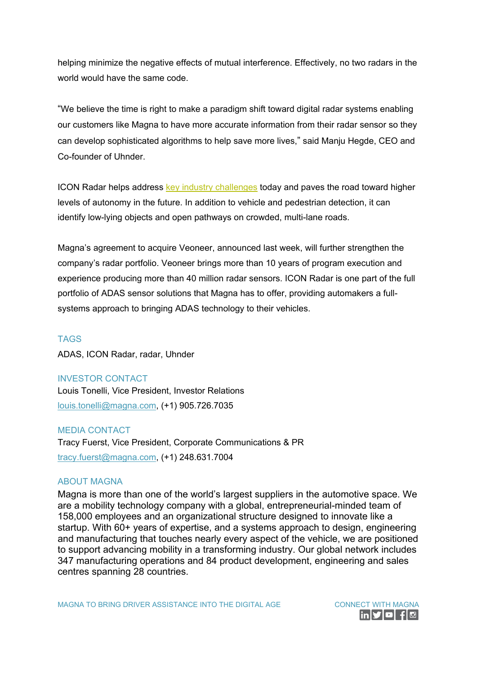helping minimize the negative effects of mutual interference. Effectively, no two radars in the world would have the same code.

"We believe the time is right to make a paradigm shift toward digital radar systems enabling our customers like Magna to have more accurate information from their radar sensor so they can develop sophisticated algorithms to help save more lives," said Manju Hegde, CEO and Co-founder of Uhnder.

ICON Radar helps address [key industry challenges](https://youtu.be/aFkZefmtruE) today and paves the road toward higher levels of autonomy in the future. In addition to vehicle and pedestrian detection, it can identify low-lying objects and open pathways on crowded, multi-lane roads.

Magna's agreement to acquire Veoneer, announced last week, will further strengthen the company's radar portfolio. Veoneer brings more than 10 years of program execution and experience producing more than 40 million radar sensors. ICON Radar is one part of the full portfolio of ADAS sensor solutions that Magna has to offer, providing automakers a fullsystems approach to bringing ADAS technology to their vehicles.

## TAGS

ADAS, ICON Radar, radar, Uhnder

INVESTOR CONTACT Louis Tonelli, Vice President, Investor Relations [louis.tonelli@magna.com,](mailto:louis.tonelli@magna.com) (+1) 905.726.7035

MEDIA CONTACT

Tracy Fuerst, Vice President, Corporate Communications & PR [tracy.fuerst@magna.com,](mailto:tracy.fuerst@magna.com) (+1) 248.631.7004

## ABOUT MAGNA

Magna is more than one of the world's largest suppliers in the automotive space. We are a mobility technology company with a global, entrepreneurial-minded team of 158,000 employees and an organizational structure designed to innovate like a startup. With 60+ years of expertise, and a systems approach to design, engineering and manufacturing that touches nearly every aspect of the vehicle, we are positioned to support advancing mobility in a transforming industry. Our global network includes 347 manufacturing operations and 84 product development, engineering and sales centres spanning 28 countries.

MAGNA TO BRING DRIVER ASSISTANCE INTO THE DIGITAL AGE CONNECT WITH MAGNA